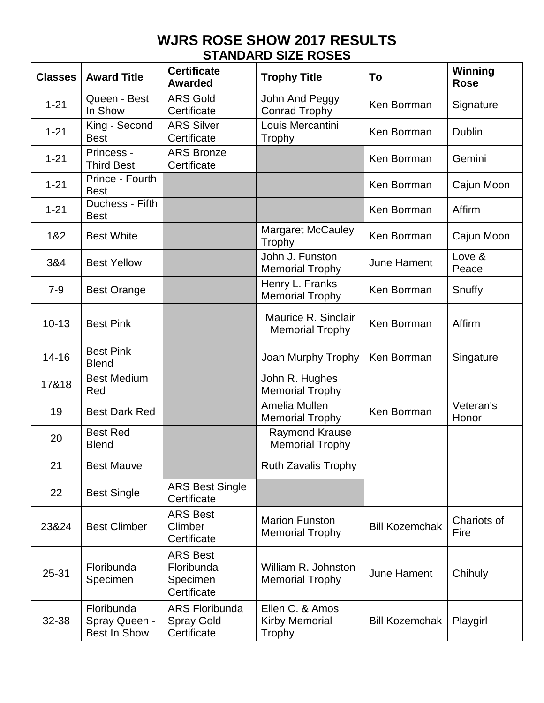## **WJRS ROSE SHOW 2017 RESULTS STANDARD SIZE ROSES**

| <b>Classes</b> | <b>Award Title</b>                                 | <b>Certificate</b><br><b>Awarded</b>                      | <b>Trophy Title</b>                                | To                    | <b>Winning</b><br><b>Rose</b> |
|----------------|----------------------------------------------------|-----------------------------------------------------------|----------------------------------------------------|-----------------------|-------------------------------|
| $1 - 21$       | Queen - Best<br>In Show                            | <b>ARS Gold</b><br>Certificate                            | John And Peggy<br><b>Conrad Trophy</b>             | Ken Borrman           | Signature                     |
| $1 - 21$       | King - Second<br><b>Best</b>                       | <b>ARS Silver</b><br>Certificate                          | Louis Mercantini<br>Trophy                         | Ken Borrman           | <b>Dublin</b>                 |
| $1 - 21$       | Princess -<br><b>Third Best</b>                    | <b>ARS Bronze</b><br>Certificate                          |                                                    | Ken Borrman           | Gemini                        |
| $1 - 21$       | Prince - Fourth<br><b>Best</b>                     |                                                           |                                                    | Ken Borrman           | Cajun Moon                    |
| $1 - 21$       | Duchess - Fifth<br><b>Best</b>                     |                                                           |                                                    | Ken Borrman           | Affirm                        |
| 1&2            | <b>Best White</b>                                  |                                                           | <b>Margaret McCauley</b><br>Trophy                 | Ken Borrman           | Cajun Moon                    |
| 3&4            | <b>Best Yellow</b>                                 |                                                           | John J. Funston<br><b>Memorial Trophy</b>          | June Hament           | Love &<br>Peace               |
| $7 - 9$        | <b>Best Orange</b>                                 |                                                           | Henry L. Franks<br><b>Memorial Trophy</b>          | Ken Borrman           | Snuffy                        |
| $10 - 13$      | <b>Best Pink</b>                                   |                                                           | Maurice R. Sinclair<br><b>Memorial Trophy</b>      | Ken Borrman           | Affirm                        |
| $14 - 16$      | <b>Best Pink</b><br><b>Blend</b>                   |                                                           | Joan Murphy Trophy                                 | Ken Borrman           | Singature                     |
| 17&18          | <b>Best Medium</b><br>Red                          |                                                           | John R. Hughes<br><b>Memorial Trophy</b>           |                       |                               |
| 19             | <b>Best Dark Red</b>                               |                                                           | Amelia Mullen<br><b>Memorial Trophy</b>            | Ken Borrman           | Veteran's<br>Honor            |
| 20             | <b>Best Red</b><br><b>Blend</b>                    |                                                           | <b>Raymond Krause</b><br><b>Memorial Trophy</b>    |                       |                               |
| 21             | <b>Best Mauve</b>                                  |                                                           | <b>Ruth Zavalis Trophy</b>                         |                       |                               |
| 22             | <b>Best Single</b>                                 | <b>ARS Best Single</b><br>Certificate                     |                                                    |                       |                               |
| 23&24          | <b>Best Climber</b>                                | <b>ARS Best</b><br>Climber<br>Certificate                 | <b>Marion Funston</b><br><b>Memorial Trophy</b>    | <b>Bill Kozemchak</b> | Chariots of<br>Fire           |
| $25 - 31$      | Floribunda<br>Specimen                             | <b>ARS Best</b><br>Floribunda<br>Specimen<br>Certificate  | William R. Johnston<br><b>Memorial Trophy</b>      | June Hament           | Chihuly                       |
| 32-38          | Floribunda<br>Spray Queen -<br><b>Best In Show</b> | <b>ARS Floribunda</b><br><b>Spray Gold</b><br>Certificate | Ellen C. & Amos<br><b>Kirby Memorial</b><br>Trophy | <b>Bill Kozemchak</b> | Playgirl                      |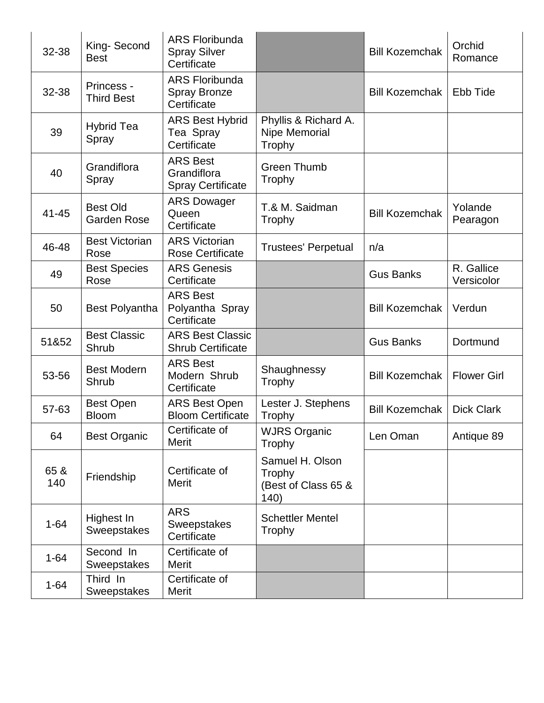| 32-38       | King-Second<br><b>Best</b>            | <b>ARS Floribunda</b><br><b>Spray Silver</b><br>Certificate |                                                          | <b>Bill Kozemchak</b> | Orchid<br>Romance        |
|-------------|---------------------------------------|-------------------------------------------------------------|----------------------------------------------------------|-----------------------|--------------------------|
| 32-38       | Princess -<br><b>Third Best</b>       | <b>ARS Floribunda</b><br><b>Spray Bronze</b><br>Certificate |                                                          | <b>Bill Kozemchak</b> | Ebb Tide                 |
| 39          | <b>Hybrid Tea</b><br>Spray            | <b>ARS Best Hybrid</b><br>Tea Spray<br>Certificate          | Phyllis & Richard A.<br>Nipe Memorial<br>Trophy          |                       |                          |
| 40          | Grandiflora<br>Spray                  | <b>ARS Best</b><br>Grandiflora<br><b>Spray Certificate</b>  | <b>Green Thumb</b><br>Trophy                             |                       |                          |
| 41-45       | <b>Best Old</b><br><b>Garden Rose</b> | <b>ARS Dowager</b><br>Queen<br>Certificate                  | T.& M. Saidman<br>Trophy                                 | <b>Bill Kozemchak</b> | Yolande<br>Pearagon      |
| 46-48       | <b>Best Victorian</b><br>Rose         | <b>ARS Victorian</b><br><b>Rose Certificate</b>             | <b>Trustees' Perpetual</b>                               | n/a                   |                          |
| 49          | <b>Best Species</b><br>Rose           | <b>ARS Genesis</b><br>Certificate                           |                                                          | <b>Gus Banks</b>      | R. Gallice<br>Versicolor |
| 50          | <b>Best Polyantha</b>                 | <b>ARS Best</b><br>Polyantha Spray<br>Certificate           |                                                          | <b>Bill Kozemchak</b> | Verdun                   |
| 51&52       | <b>Best Classic</b><br>Shrub          | <b>ARS Best Classic</b><br><b>Shrub Certificate</b>         |                                                          | <b>Gus Banks</b>      | Dortmund                 |
| 53-56       | <b>Best Modern</b><br>Shrub           | <b>ARS Best</b><br>Modern Shrub<br>Certificate              | Shaughnessy<br>Trophy                                    | <b>Bill Kozemchak</b> | <b>Flower Girl</b>       |
| 57-63       | <b>Best Open</b><br><b>Bloom</b>      | <b>ARS Best Open</b><br><b>Bloom Certificate</b>            | Lester J. Stephens<br>Trophy                             | <b>Bill Kozemchak</b> | <b>Dick Clark</b>        |
| 64          | <b>Best Organic</b>                   | Certificate of<br>Merit                                     | <b>WJRS Organic</b><br>Trophy                            | Len Oman              | Antique 89               |
| 65 &<br>140 | Friendship                            | Certificate of<br><b>Merit</b>                              | Samuel H. Olson<br>Trophy<br>(Best of Class 65 &<br>140) |                       |                          |
| $1 - 64$    | Highest In<br>Sweepstakes             | <b>ARS</b><br><b>Sweepstakes</b><br>Certificate             | <b>Schettler Mentel</b><br>Trophy                        |                       |                          |
| $1 - 64$    | Second In<br>Sweepstakes              | Certificate of<br>Merit                                     |                                                          |                       |                          |
| $1 - 64$    | Third In<br><b>Sweepstakes</b>        | Certificate of<br>Merit                                     |                                                          |                       |                          |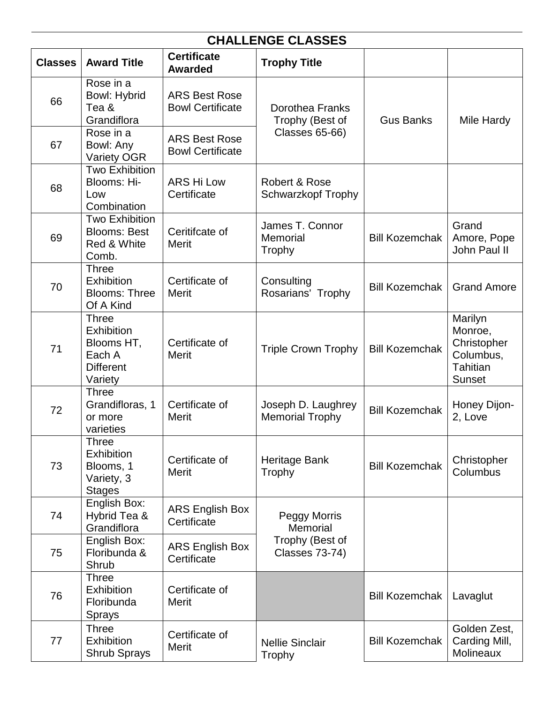| <b>CHALLENGE CLASSES</b> |                                                                                   |                                                 |                                              |                       |                                                                             |
|--------------------------|-----------------------------------------------------------------------------------|-------------------------------------------------|----------------------------------------------|-----------------------|-----------------------------------------------------------------------------|
| <b>Classes</b>           | <b>Award Title</b>                                                                | <b>Certificate</b><br><b>Awarded</b>            | <b>Trophy Title</b>                          |                       |                                                                             |
| 66                       | Rose in a<br><b>Bowl: Hybrid</b><br>Tea &<br>Grandiflora                          | <b>ARS Best Rose</b><br><b>Bowl Certificate</b> | <b>Dorothea Franks</b><br>Trophy (Best of    | <b>Gus Banks</b>      | Mile Hardy                                                                  |
| 67                       | Rose in a<br>Bowl: Any<br><b>Variety OGR</b>                                      | <b>ARS Best Rose</b><br><b>Bowl Certificate</b> | <b>Classes 65-66)</b>                        |                       |                                                                             |
| 68                       | Two Exhibition<br>Blooms: Hi-<br>Low<br>Combination                               | <b>ARS Hi Low</b><br>Certificate                | Robert & Rose<br><b>Schwarzkopf Trophy</b>   |                       |                                                                             |
| 69                       | <b>Two Exhibition</b><br><b>Blooms: Best</b><br>Red & White<br>Comb.              | Ceritifcate of<br><b>Merit</b>                  | James T. Connor<br>Memorial<br>Trophy        | <b>Bill Kozemchak</b> | Grand<br>Amore, Pope<br>John Paul II                                        |
| 70                       | <b>Three</b><br>Exhibition<br><b>Blooms: Three</b><br>Of A Kind                   | Certificate of<br><b>Merit</b>                  | Consulting<br>Rosarians' Trophy              | <b>Bill Kozemchak</b> | <b>Grand Amore</b>                                                          |
| 71                       | <b>Three</b><br>Exhibition<br>Blooms HT,<br>Each A<br><b>Different</b><br>Variety | Certificate of<br><b>Merit</b>                  | <b>Triple Crown Trophy</b>                   | <b>Bill Kozemchak</b> | Marilyn<br>Monroe,<br>Christopher<br>Columbus,<br><b>Tahitian</b><br>Sunset |
| 72                       | <b>Three</b><br>Grandifloras, 1<br>or more<br>varieties                           | Certificate of<br><b>Merit</b>                  | Joseph D. Laughrey<br><b>Memorial Trophy</b> | <b>Bill Kozemchak</b> | Honey Dijon-<br>2, Love                                                     |
| 73                       | Three<br><b>Exhibition</b><br>Blooms, 1<br>Variety, 3<br><b>Stages</b>            | Certificate of<br><b>Merit</b>                  | Heritage Bank<br>Trophy                      | <b>Bill Kozemchak</b> | Christopher<br>Columbus                                                     |
| 74                       | English Box:<br>Hybrid Tea &<br>Grandiflora                                       | <b>ARS English Box</b><br>Certificate           | <b>Peggy Morris</b><br>Memorial              |                       |                                                                             |
| 75                       | English Box:<br>Floribunda &<br>Shrub                                             | <b>ARS English Box</b><br>Certificate           | Trophy (Best of<br><b>Classes 73-74)</b>     |                       |                                                                             |
| 76                       | <b>Three</b><br><b>Exhibition</b><br>Floribunda<br><b>Sprays</b>                  | Certificate of<br><b>Merit</b>                  |                                              | <b>Bill Kozemchak</b> | Lavaglut                                                                    |
| 77                       | <b>Three</b><br><b>Exhibition</b><br><b>Shrub Sprays</b>                          | Certificate of<br><b>Merit</b>                  | <b>Nellie Sinclair</b><br>Trophy             | <b>Bill Kozemchak</b> | Golden Zest,<br>Carding Mill,<br>Molineaux                                  |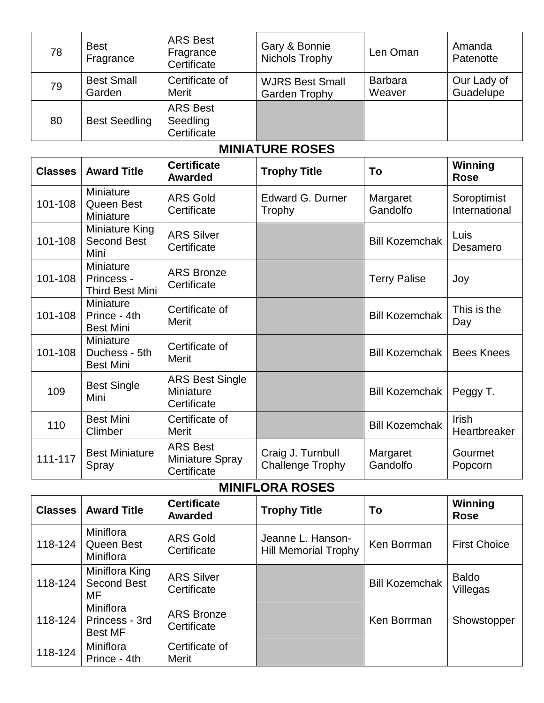| 78 | <b>Best</b><br>Fragrance    | <b>ARS Best</b><br>Fragrance<br>Certificate | Gary & Bonnie<br>Nichols Trophy                | Len Oman                 | Amanda<br>Patenotte      |
|----|-----------------------------|---------------------------------------------|------------------------------------------------|--------------------------|--------------------------|
| 79 | <b>Best Small</b><br>Garden | Certificate of<br>Merit                     | <b>WJRS Best Small</b><br><b>Garden Trophy</b> | <b>Barbara</b><br>Weaver | Our Lady of<br>Guadelupe |
| 80 | <b>Best Seedling</b>        | <b>ARS Best</b><br>Seedling<br>Certificate  |                                                |                          |                          |

#### **MINIATURE ROSES**

| <b>Classes</b> | <b>Award Title</b>                                       | <b>Certificate</b><br><b>Awarded</b>               | <b>Trophy Title</b>                          | To                    | Winning<br><b>Rose</b>       |
|----------------|----------------------------------------------------------|----------------------------------------------------|----------------------------------------------|-----------------------|------------------------------|
| 101-108        | Miniature<br>Queen Best<br>Miniature                     | <b>ARS Gold</b><br>Certificate                     | <b>Edward G. Durner</b><br>Trophy            | Margaret<br>Gandolfo  | Soroptimist<br>International |
| 101-108        | Miniature King<br><b>Second Best</b><br>Mini             | <b>ARS Silver</b><br>Certificate                   |                                              | <b>Bill Kozemchak</b> | Luis<br>Desamero             |
| 101-108        | <b>Miniature</b><br>Princess -<br><b>Third Best Mini</b> | <b>ARS Bronze</b><br>Certificate                   |                                              | <b>Terry Palise</b>   | Joy                          |
| 101-108        | Miniature<br>Prince - 4th<br><b>Best Mini</b>            | Certificate of<br><b>Merit</b>                     |                                              | <b>Bill Kozemchak</b> | This is the<br>Day           |
| 101-108        | Miniature<br>Duchess - 5th<br><b>Best Mini</b>           | Certificate of<br><b>Merit</b>                     |                                              | <b>Bill Kozemchak</b> | <b>Bees Knees</b>            |
| 109            | <b>Best Single</b><br>Mini                               | <b>ARS Best Single</b><br>Miniature<br>Certificate |                                              | <b>Bill Kozemchak</b> | Peggy T.                     |
| 110            | <b>Best Mini</b><br>Climber                              | Certificate of<br>Merit                            |                                              | <b>Bill Kozemchak</b> | <b>Irish</b><br>Heartbreaker |
| 111-117        | <b>Best Miniature</b><br>Spray                           | <b>ARS Best</b><br>Miniature Spray<br>Certificate  | Craig J. Turnbull<br><b>Challenge Trophy</b> | Margaret<br>Gandolfo  | Gourmet<br>Popcorn           |

**MINIFLORA ROSES**

| <b>Classes</b> | <b>Award Title</b>                            | <b>Certificate</b><br><b>Awarded</b> | <b>Trophy Title</b>                              | To                    | Winning<br><b>Rose</b>   |
|----------------|-----------------------------------------------|--------------------------------------|--------------------------------------------------|-----------------------|--------------------------|
| 118-124        | Miniflora<br>Queen Best<br>Miniflora          | <b>ARS Gold</b><br>Certificate       | Jeanne L. Hanson-<br><b>Hill Memorial Trophy</b> | Ken Borrman           | <b>First Choice</b>      |
| 118-124        | Miniflora King<br><b>Second Best</b><br>MF    | <b>ARS Silver</b><br>Certificate     |                                                  | <b>Bill Kozemchak</b> | <b>Baldo</b><br>Villegas |
| 118-124        | Miniflora<br>Princess - 3rd<br><b>Best MF</b> | <b>ARS Bronze</b><br>Certificate     |                                                  | Ken Borrman           | Showstopper              |
| 118-124        | Miniflora<br>Prince - 4th                     | Certificate of<br><b>Merit</b>       |                                                  |                       |                          |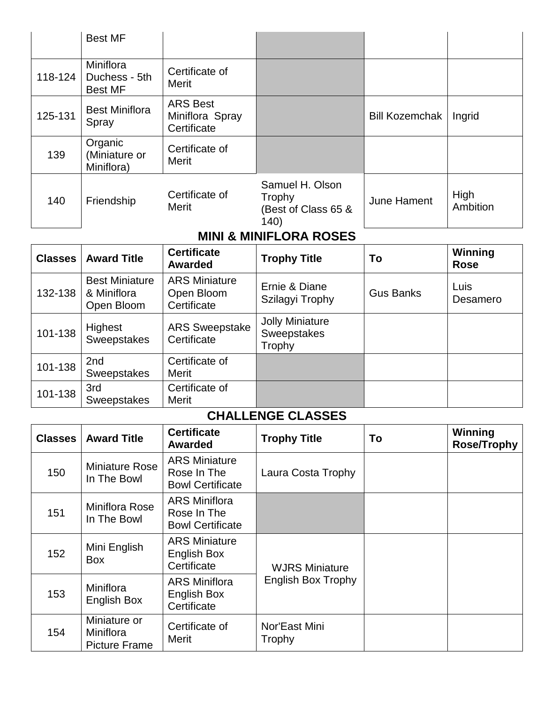|         | <b>Best MF</b>                               |                                                   |                                                          |                       |                  |
|---------|----------------------------------------------|---------------------------------------------------|----------------------------------------------------------|-----------------------|------------------|
| 118-124 | Miniflora<br>Duchess - 5th<br><b>Best MF</b> | Certificate of<br>Merit                           |                                                          |                       |                  |
| 125-131 | <b>Best Miniflora</b><br>Spray               | <b>ARS Best</b><br>Miniflora Spray<br>Certificate |                                                          | <b>Bill Kozemchak</b> | Ingrid           |
| 139     | Organic<br>(Miniature or<br>Miniflora)       | Certificate of<br>Merit                           |                                                          |                       |                  |
| 140     | Friendship                                   | Certificate of<br>Merit                           | Samuel H. Olson<br>Trophy<br>(Best of Class 65 &<br>140) | June Hament           | High<br>Ambition |

## **MINI & MINIFLORA ROSES**

| <b>Classes</b> | <b>Award Title</b>                                 | <b>Certificate</b><br><b>Awarded</b>              | <b>Trophy Title</b>                             | To               | Winning<br><b>Rose</b> |
|----------------|----------------------------------------------------|---------------------------------------------------|-------------------------------------------------|------------------|------------------------|
| 132-138        | <b>Best Miniature</b><br>& Miniflora<br>Open Bloom | <b>ARS Miniature</b><br>Open Bloom<br>Certificate | Ernie & Diane<br>Szilagyi Trophy                | <b>Gus Banks</b> | Luis<br>Desamero       |
| 101-138        | Highest<br>Sweepstakes                             | <b>ARS Sweepstake</b><br>Certificate              | <b>Jolly Miniature</b><br>Sweepstakes<br>Trophy |                  |                        |
| 101-138        | 2nd<br>Sweepstakes                                 | Certificate of<br><b>Merit</b>                    |                                                 |                  |                        |
| 101-138        | 3rd<br><b>Sweepstakes</b>                          | Certificate of<br>Merit                           |                                                 |                  |                        |

#### **CHALLENGE CLASSES**

| <b>Classes</b> | <b>Award Title</b>                                | <b>Certificate</b><br><b>Awarded</b>                           | <b>Trophy Title</b>                                | To | Winning<br><b>Rose/Trophy</b> |
|----------------|---------------------------------------------------|----------------------------------------------------------------|----------------------------------------------------|----|-------------------------------|
| 150            | Miniature Rose<br>In The Bowl                     | <b>ARS Miniature</b><br>Rose In The<br><b>Bowl Certificate</b> | Laura Costa Trophy                                 |    |                               |
| 151            | Miniflora Rose<br>In The Bowl                     | <b>ARS Miniflora</b><br>Rose In The<br><b>Bowl Certificate</b> |                                                    |    |                               |
| 152            | Mini English<br><b>Box</b>                        | <b>ARS Miniature</b><br>English Box<br>Certificate             | <b>WJRS Miniature</b><br><b>English Box Trophy</b> |    |                               |
| 153            | Miniflora<br>English Box                          | <b>ARS Miniflora</b><br>English Box<br>Certificate             |                                                    |    |                               |
| 154            | Miniature or<br>Miniflora<br><b>Picture Frame</b> | Certificate of<br>Merit                                        | Nor'East Mini<br>Trophy                            |    |                               |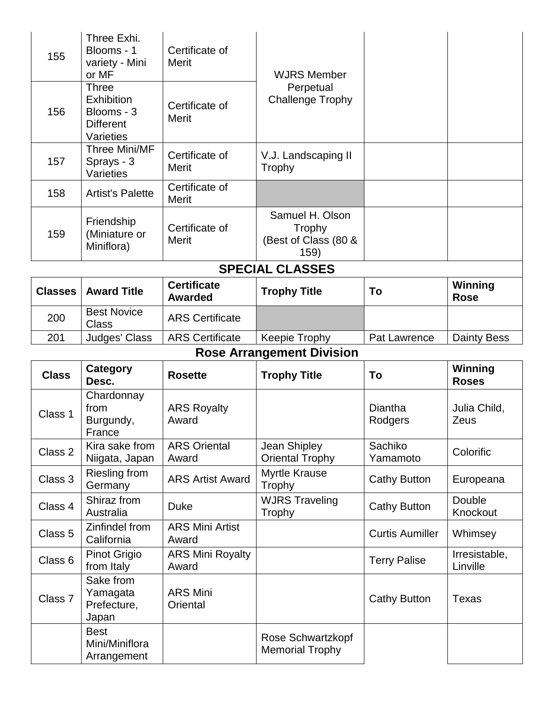| 155 | Three Exhi.<br>Blooms - 1<br>variety - Mini<br>or MF                      | Certificate of<br>Merit | <b>WJRS Member</b>                                        |  |
|-----|---------------------------------------------------------------------------|-------------------------|-----------------------------------------------------------|--|
| 156 | Three<br><b>Exhibition</b><br>Blooms - 3<br><b>Different</b><br>Varieties | Certificate of<br>Merit | Perpetual<br><b>Challenge Trophy</b>                      |  |
| 157 | Three Mini/MF<br>Sprays - 3<br>Varieties                                  | Certificate of<br>Merit | V.J. Landscaping II<br>Trophy                             |  |
| 158 | <b>Artist's Palette</b>                                                   | Certificate of<br>Merit |                                                           |  |
| 159 | Friendship<br>(Miniature or<br>Miniflora)                                 | Certificate of<br>Merit | Samuel H. Olson<br>Trophy<br>(Best of Class (80 &<br>159) |  |

| <b>SPECIAL CLASSES</b> |
|------------------------|
|                        |

| <b>Classes</b> | <b>Award Title</b>          | <b>Certificate</b><br>Awarded | <b>Trophy Title</b> | To           | Winning<br><b>Rose</b> |
|----------------|-----------------------------|-------------------------------|---------------------|--------------|------------------------|
| 200            | <b>Best Novice</b><br>Class | <b>ARS Certificate</b>        |                     |              |                        |
| 201            | Judges' Class               | <b>ARS Certificate</b>        | Keepie Trophy       | Pat Lawrence | <b>Dainty Bess</b>     |
|                |                             | $\sim$                        | .                   |              |                        |

# **Rose Arrangement Division**

| <b>Class</b> | Category<br>Desc.                             | <b>Rosette</b>                   | <b>Trophy Title</b>                         | To                        | Winning<br><b>Roses</b>   |
|--------------|-----------------------------------------------|----------------------------------|---------------------------------------------|---------------------------|---------------------------|
| Class 1      | Chardonnay<br>from<br>Burgundy,<br>France     | <b>ARS Royalty</b><br>Award      |                                             | <b>Diantha</b><br>Rodgers | Julia Child,<br>Zeus      |
| Class 2      | Kira sake from<br>Niigata, Japan              | <b>ARS Oriental</b><br>Award     | Jean Shipley<br><b>Oriental Trophy</b>      | Sachiko<br>Yamamoto       | Colorific                 |
| Class 3      | <b>Riesling from</b><br>Germany               | <b>ARS Artist Award</b>          | <b>Myrtle Krause</b><br>Trophy              | <b>Cathy Button</b>       | Europeana                 |
| Class 4      | Shiraz from<br>Australia                      | <b>Duke</b>                      | <b>WJRS Traveling</b><br>Trophy             | <b>Cathy Button</b>       | Double<br>Knockout        |
| Class 5      | Zinfindel from<br>California                  | <b>ARS Mini Artist</b><br>Award  |                                             | <b>Curtis Aumiller</b>    | Whimsey                   |
| Class 6      | Pinot Grigio<br>from Italy                    | <b>ARS Mini Royalty</b><br>Award |                                             | <b>Terry Palise</b>       | Irresistable,<br>Linville |
| Class 7      | Sake from<br>Yamagata<br>Prefecture,<br>Japan | <b>ARS Mini</b><br>Oriental      |                                             | <b>Cathy Button</b>       | <b>Texas</b>              |
|              | <b>Best</b><br>Mini/Miniflora<br>Arrangement  |                                  | Rose Schwartzkopf<br><b>Memorial Trophy</b> |                           |                           |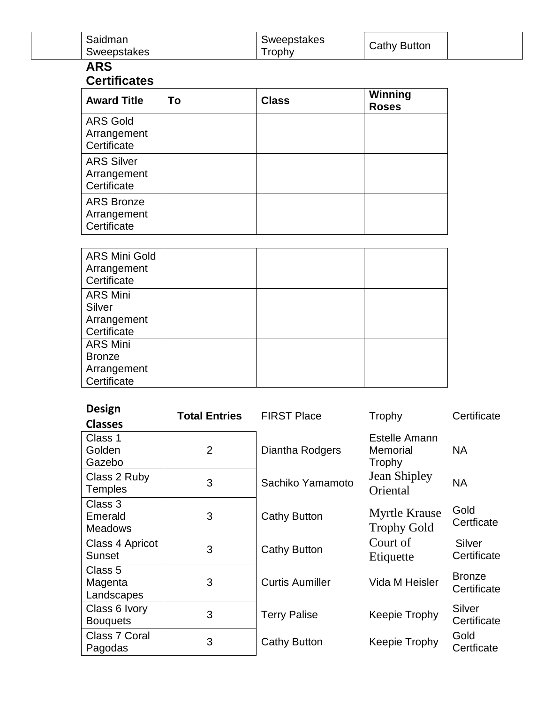| Saidman<br>Sweepstakes                                         |                      | Sweepstakes<br>Trophy  | <b>Cathy Button</b>                        |                              |
|----------------------------------------------------------------|----------------------|------------------------|--------------------------------------------|------------------------------|
| <b>ARS</b>                                                     |                      |                        |                                            |                              |
| <b>Certificates</b>                                            |                      |                        |                                            |                              |
| <b>Award Title</b>                                             | To                   | <b>Class</b>           | Winning<br><b>Roses</b>                    |                              |
| <b>ARS Gold</b><br>Arrangement<br>Certificate                  |                      |                        |                                            |                              |
| <b>ARS Silver</b><br>Arrangement<br>Certificate                |                      |                        |                                            |                              |
| <b>ARS Bronze</b><br>Arrangement<br>Certificate                |                      |                        |                                            |                              |
| <b>ARS Mini Gold</b><br>Arrangement<br>Certificate             |                      |                        |                                            |                              |
| <b>ARS Mini</b><br>Silver<br>Arrangement<br>Certificate        |                      |                        |                                            |                              |
| <b>ARS Mini</b><br><b>Bronze</b><br>Arrangement<br>Certificate |                      |                        |                                            |                              |
| <b>Design</b><br><b>Classes</b>                                | <b>Total Entries</b> | <b>FIRST Place</b>     | Trophy                                     | Certificate                  |
| Class 1<br>Golden<br>Gazebo                                    | $\overline{2}$       | Diantha Rodgers        | <b>Estelle Amann</b><br>Memorial<br>Trophy | <b>NA</b>                    |
| Class 2 Ruby<br><b>Temples</b>                                 | 3                    | Sachiko Yamamoto       | Jean Shipley<br>Oriental                   | <b>NA</b>                    |
| Class 3<br>Emerald<br><b>Meadows</b>                           | 3                    | <b>Cathy Button</b>    | <b>Myrtle Krause</b><br><b>Trophy Gold</b> | Gold<br>Certficate           |
| Class 4 Apricot<br><b>Sunset</b>                               | 3                    | <b>Cathy Button</b>    | Court of<br>Etiquette                      | Silver<br>Certificate        |
| Class 5<br>Magenta<br>Landscapes                               | 3                    | <b>Curtis Aumiller</b> | Vida M Heisler                             | <b>Bronze</b><br>Certificate |
| Class 6 Ivory<br><b>Bouquets</b>                               | 3                    | <b>Terry Palise</b>    | Keepie Trophy                              | Silver<br>Certificate        |
| Class 7 Coral<br>Pagodas                                       | 3                    | <b>Cathy Button</b>    | Keepie Trophy                              | Gold<br>Certficate           |